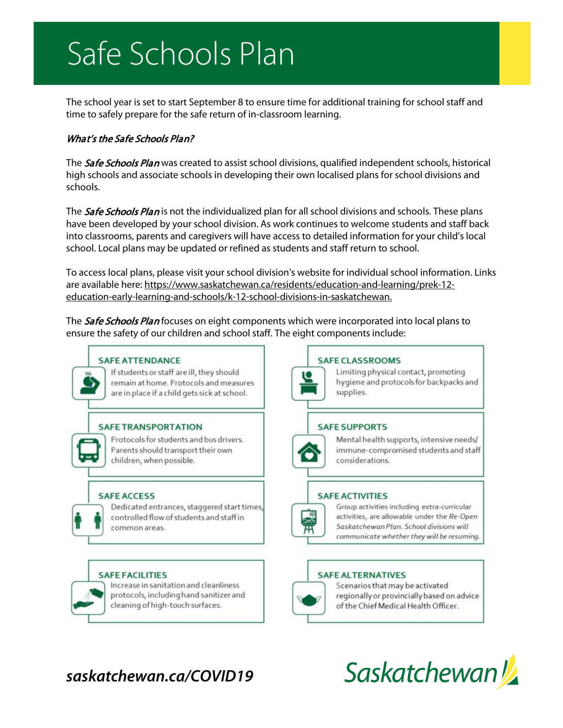# Safe Schools Plan

The school year is set to start September 8 to ensure time for additional training for school staff and time to safely prepare for the safe return of in-classroom learning.

### What's the Safe Schools Plan?

The **Safe Schools Plan** was created to assist school divisions, qualified independent schools, historical high schools and associate schools in developing their own localised plans for school divisions and schools.

The **Safe Schools Plan** is not the individualized plan for all school divisions and schools. These plans have been developed by your school division. As work continues to welcome students and staff back into classrooms, parents and caregivers will have access to detailed information for your child's local school. Local plans may be updated or refined as students and staff return to school.

To access local plans, please visit your school division's website for individual school information. Links are available here: [https://www.saskatchewan.ca/residents/education-and-learning/prek-12](https://www.saskatchewan.ca/residents/education-and-learning/prek-12-education-early-learning-and-schools/k-12-school-divisions-in-saskatchewan) [education-early-learning-and-schools/k-12-school-divisions-in-saskatchewan.](https://www.saskatchewan.ca/residents/education-and-learning/prek-12-education-early-learning-and-schools/k-12-school-divisions-in-saskatchewan) 

The **Safe Schools Plan** focuses on eight components which were incorporated into local plans to ensure the safety of our children and school staff. The eight components include:

### **SAFE ATTENDANCE**

If students or staff are ill, they should remain at home. Protocols and measures are in place if a child gets sick at school.

### **SAFE TRANSPORTATION**

Protocols for students and bus drivers. Parents should transport their own children, when possible.

### **SAFE ACCESS**

Dedicated entrances, staggered start times, controlled flow of students and staff in common areas.

### **SAFE FACILITIES**

Increase in sanitation and cleanliness protocols, including hand sanitizer and cleaning of high-touch surfaces.

### **SAFE CLASSROOMS**

Limiting physical contact, promoting hygiene and protocols for backpacks and supplies.

### **SAFE SUPPORTS**



Mental health supports, intensive needs/ immune-compromised students and staff considerations.

### **SAFE ACTIVITIES**

Group activities including extra-curricular activities, are allowable under the Re-Open Saskatchewan Plan. School divisions will communicate whether they will be resuming.

### **SAFE ALTERNATIVES**



Scenarios that may be activated regionally or provincially based on advice of the Chief Medical Health Officer.

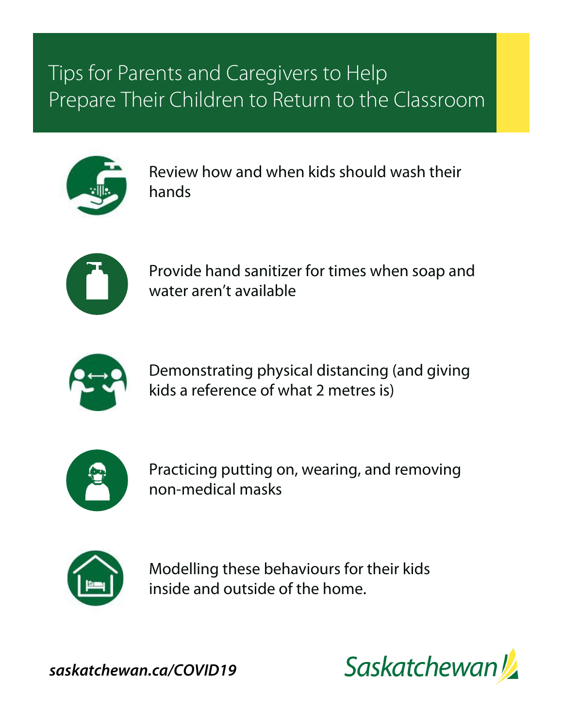### Tips for Parents and Caregivers to Help Prepare Their Children to Return to the Classroom



Review how and when kids should wash their hands



Provide hand sanitizer for times when soap and water aren't available



Demonstrating physical distancing (and giving kids a reference of what 2 metres is)



Practicing putting on, wearing, and removing non-medical masks



Modelling these behaviours for their kids inside and outside of the home.

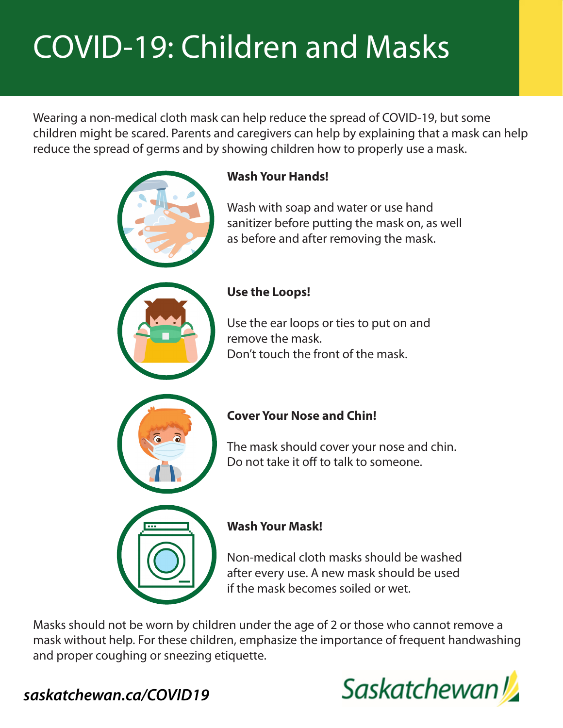# COVID-19: Children and Masks

Wearing a non-medical cloth mask can help reduce the spread of COVID-19, but some children might be scared. Parents and caregivers can help by explaining that a mask can help reduce the spread of germs and by showing children how to properly use a mask.



### **Wash Your Hands!**

Wash with soap and water or use hand sanitizer before putting the mask on, as well as before and after removing the mask.



### **Use the Loops!**

Use the ear loops or ties to put on and remove the mask. Don't touch the front of the mask.



### **Cover Your Nose and Chin!**

The mask should cover your nose and chin. Do not take it off to talk to someone.



### **Wash Your Mask!**

Non-medical cloth masks should be washed after every use. A new mask should be used if the mask becomes soiled or wet.

Masks should not be worn by children under the age of 2 or those who cannot remove a mask without help. For these children, emphasize the importance of frequent handwashing and proper coughing or sneezing etiquette.

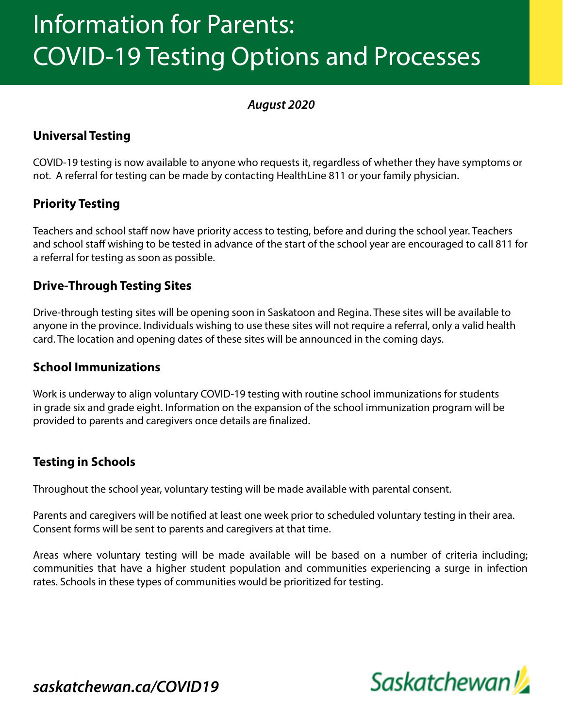## Information for Parents: COVID-19 Testing Options and Processes

### *August 2020*

### **Universal Testing**

COVID-19 testing is now available to anyone who requests it, regardless of whether they have symptoms or not. A referral for testing can be made by contacting HealthLine 811 or your family physician.

### **Priority Testing**

Teachers and school staff now have priority access to testing, before and during the school year. Teachers and school staff wishing to be tested in advance of the start of the school year are encouraged to call 811 for a referral for testing as soon as possible.

### **Drive-Through Testing Sites**

Drive-through testing sites will be opening soon in Saskatoon and Regina. These sites will be available to anyone in the province. Individuals wishing to use these sites will not require a referral, only a valid health card. The location and opening dates of these sites will be announced in the coming days.

### **School Immunizations**

Work is underway to align voluntary COVID-19 testing with routine school immunizations for students in grade six and grade eight. Information on the expansion of the school immunization program will be provided to parents and caregivers once details are finalized.

### **Testing in Schools**

Throughout the school year, voluntary testing will be made available with parental consent.

Parents and caregivers will be notified at least one week prior to scheduled voluntary testing in their area. Consent forms will be sent to parents and caregivers at that time.

Areas where voluntary testing will be made available will be based on a number of criteria including; communities that have a higher student population and communities experiencing a surge in infection rates. Schools in these types of communities would be prioritized for testing.

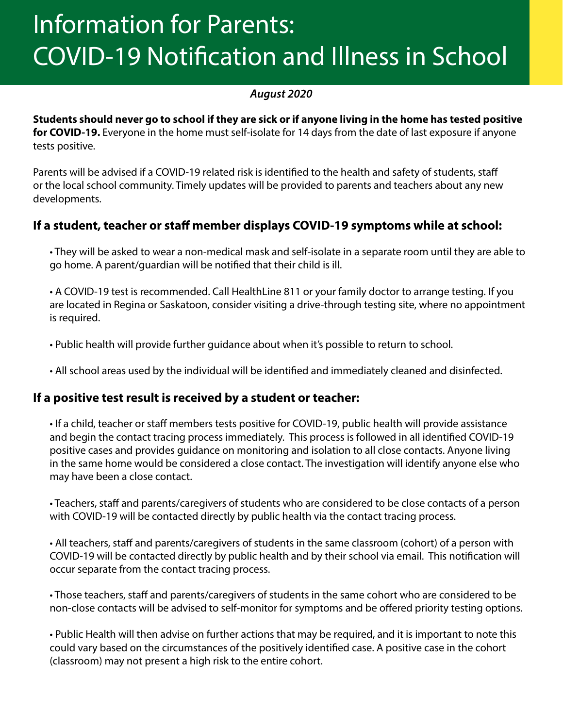# Information for Parents: COVID-19 Notification and Illness in School

### *August 2020*

**Students should never go to school if they are sick or if anyone living in the home has tested positive for COVID-19.** Everyone in the home must self-isolate for 14 days from the date of last exposure if anyone tests positive.

Parents will be advised if a COVID-19 related risk is identified to the health and safety of students, staff or the local school community. Timely updates will be provided to parents and teachers about any new developments.

### **If a student, teacher or staff member displays COVID-19 symptoms while at school:**

• They will be asked to wear a non-medical mask and self-isolate in a separate room until they are able to go home. A parent/guardian will be notified that their child is ill.

• A COVID-19 test is recommended. Call HealthLine 811 or your family doctor to arrange testing. If you are located in Regina or Saskatoon, consider visiting a drive-through testing site, where no appointment is required.

• Public health will provide further guidance about when it's possible to return to school.

• All school areas used by the individual will be identified and immediately cleaned and disinfected.

### **If a positive test result is received by a student or teacher:**

• If a child, teacher or staff members tests positive for COVID-19, public health will provide assistance and begin the contact tracing process immediately. This process is followed in all identified COVID-19 positive cases and provides guidance on monitoring and isolation to all close contacts. Anyone living in the same home would be considered a close contact. The investigation will identify anyone else who may have been a close contact.

• Teachers, staff and parents/caregivers of students who are considered to be close contacts of a person with COVID-19 will be contacted directly by public health via the contact tracing process.

• All teachers, staff and parents/caregivers of students in the same classroom (cohort) of a person with COVID-19 will be contacted directly by public health and by their school via email. This notification will occur separate from the contact tracing process.

• Those teachers, staff and parents/caregivers of students in the same cohort who are considered to be non-close contacts will be advised to self-monitor for symptoms and be offered priority testing options.

• Public Health will then advise on further actions that may be required, and it is important to note this could vary based on the circumstances of the positively identified case. A positive case in the cohort (classroom) may not present a high risk to the entire cohort.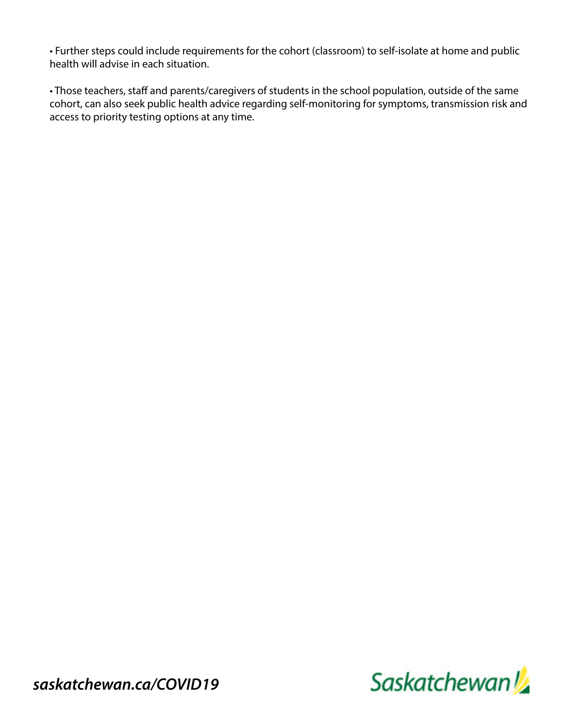• Further steps could include requirements for the cohort (classroom) to self-isolate at home and public health will advise in each situation.

• Those teachers, staff and parents/caregivers of students in the school population, outside of the same cohort, can also seek public health advice regarding self-monitoring for symptoms, transmission risk and access to priority testing options at any time.

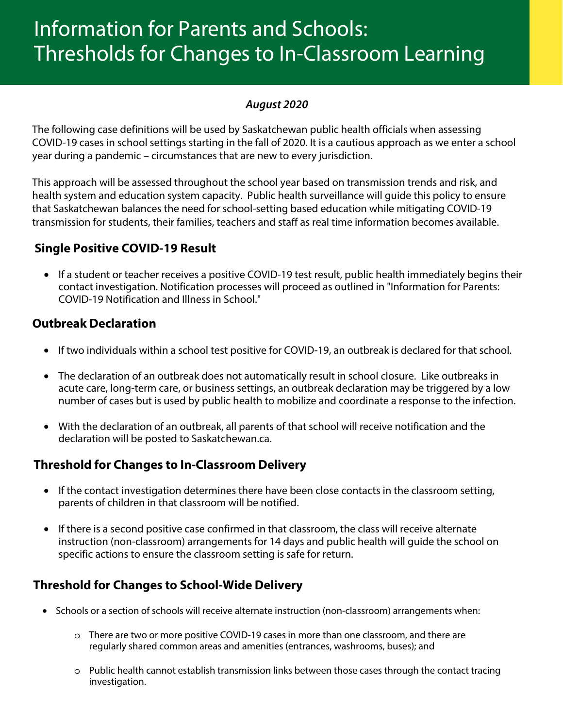### Information for Parents and Schools: Thresholds for Changes to In-Classroom Learning

### *August 2020*

The following case definitions will be used by Saskatchewan public health officials when assessing COVID-19 cases in school settings starting in the fall of 2020. It is a cautious approach as we enter a school year during a pandemic – circumstances that are new to every jurisdiction.

This approach will be assessed throughout the school year based on transmission trends and risk, and health system and education system capacity. Public health surveillance will guide this policy to ensure that Saskatchewan balances the need for school-setting based education while mitigating COVID-19 transmission for students, their families, teachers and staff as real time information becomes available.

### **Single Positive COVID-19 Result**

• If a student or teacher receives a positive COVID-19 test result, public health immediately begins their contact investigation. Notification processes will proceed as outlined in "Information for Parents: COVID-19 Notification and Illness in School."

### **Outbreak Declaration**

- If two individuals within a school test positive for COVID-19, an outbreak is declared for that school.
- The declaration of an outbreak does not automatically result in school closure. Like outbreaks in acute care, long-term care, or business settings, an outbreak declaration may be triggered by a low number of cases but is used by public health to mobilize and coordinate a response to the infection.
- With the declaration of an outbreak, all parents of that school will receive notification and the declaration will be posted to Saskatchewan.ca.

### **Threshold for Changes to In-Classroom Delivery**

- If the contact investigation determines there have been close contacts in the classroom setting, parents of children in that classroom will be notified.
- If there is a second positive case confirmed in that classroom, the class will receive alternate instruction (non-classroom) arrangements for 14 days and public health will guide the school on specific actions to ensure the classroom setting is safe for return.

### **Threshold for Changes to School-Wide Delivery**

- Schools or a section of schools will receive alternate instruction (non-classroom) arrangements when:
	- o There are two or more positive COVID-19 cases in more than one classroom, and there are regularly shared common areas and amenities (entrances, washrooms, buses); and
	- o Public health cannot establish transmission links between those cases through the contact tracing investigation.